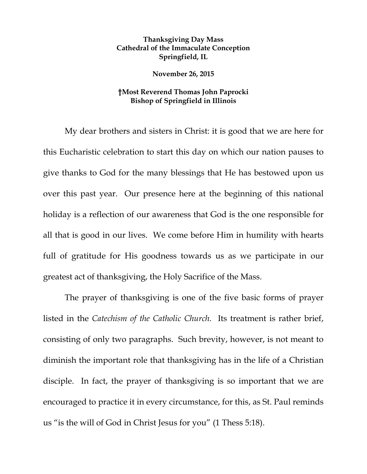## **Thanksgiving Day Mass Cathedral of the Immaculate Conception Springfield, IL**

**November 26, 2015** 

## **†Most Reverend Thomas John Paprocki Bishop of Springfield in Illinois**

My dear brothers and sisters in Christ: it is good that we are here for this Eucharistic celebration to start this day on which our nation pauses to give thanks to God for the many blessings that He has bestowed upon us over this past year. Our presence here at the beginning of this national holiday is a reflection of our awareness that God is the one responsible for all that is good in our lives. We come before Him in humility with hearts full of gratitude for His goodness towards us as we participate in our greatest act of thanksgiving, the Holy Sacrifice of the Mass.

The prayer of thanksgiving is one of the five basic forms of prayer listed in the *Catechism of the Catholic Church*. Its treatment is rather brief, consisting of only two paragraphs. Such brevity, however, is not meant to diminish the important role that thanksgiving has in the life of a Christian disciple. In fact, the prayer of thanksgiving is so important that we are encouraged to practice it in every circumstance, for this, as St. Paul reminds us "is the will of God in Christ Jesus for you" (1 Thess 5:18).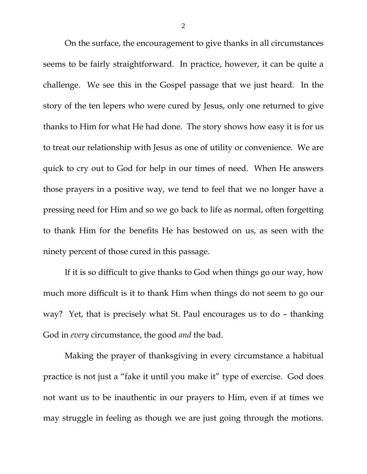On the surface, the encouragement to give thanks in all circumstances seems to be fairly straightforward. In practice, however, it can be quite a challenge. We see this in the Gospel passage that we just heard. In the story of the ten lepers who were cured by Jesus, only one returned to give thanks to Him for what He had done. The story shows how easy it is for us to treat our relationship with Jesus as one of utility or convenience. We are quick to cry out to God for help in our times of need. When He answers those prayers in a positive way, we tend to feel that we no longer have a pressing need for Him and so we go back to life as normal, often forgetting to thank Him for the benefits He has bestowed on us, as seen with the ninety percent of those cured in this passage.

If it is so difficult to give thanks to God when things go our way, how much more difficult is it to thank Him when things do not seem to go our way? Yet, that is precisely what St. Paul encourages us to do – thanking God in *every* circumstance, the good *and* the bad.

Making the prayer of thanksgiving in every circumstance a habitual practice is not just a "fake it until you make it" type of exercise. God does not want us to be inauthentic in our prayers to Him, even if at times we may struggle in feeling as though we are just going through the motions.

2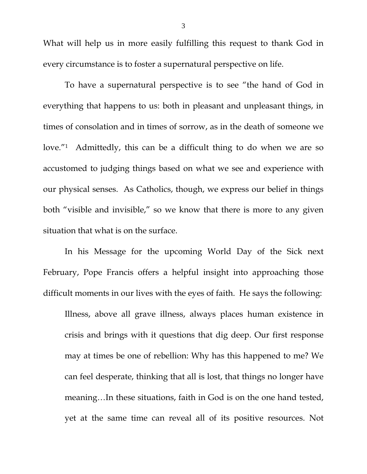What will help us in more easily fulfilling this request to thank God in every circumstance is to foster a supernatural perspective on life.

To have a supernatural perspective is to see "the hand of God in everything that happens to us: both in pleasant and unpleasant things, in times of consolation and in times of sorrow, as in the death of someone we love."<sup>1</sup> Admittedly, this can be a difficult thing to do when we are so accustomed to judging things based on what we see and experience with our physical senses. As Catholics, though, we express our belief in things both "visible and invisible," so we know that there is more to any given situation that what is on the surface.

 In his Message for the upcoming World Day of the Sick next February, Pope Francis offers a helpful insight into approaching those difficult moments in our lives with the eyes of faith. He says the following:

Illness, above all grave illness, always places human existence in crisis and brings with it questions that dig deep. Our first response may at times be one of rebellion: Why has this happened to me? We can feel desperate, thinking that all is lost, that things no longer have meaning…In these situations, faith in God is on the one hand tested, yet at the same time can reveal all of its positive resources. Not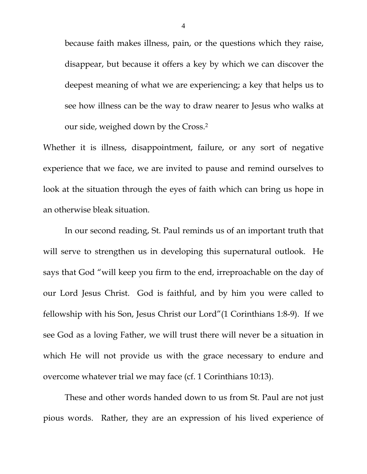because faith makes illness, pain, or the questions which they raise, disappear, but because it offers a key by which we can discover the deepest meaning of what we are experiencing; a key that helps us to see how illness can be the way to draw nearer to Jesus who walks at our side, weighed down by the Cross.2

Whether it is illness, disappointment, failure, or any sort of negative experience that we face, we are invited to pause and remind ourselves to look at the situation through the eyes of faith which can bring us hope in an otherwise bleak situation.

 In our second reading, St. Paul reminds us of an important truth that will serve to strengthen us in developing this supernatural outlook. He says that God "will keep you firm to the end, irreproachable on the day of our Lord Jesus Christ. God is faithful, and by him you were called to fellowship with his Son, Jesus Christ our Lord"(1 Corinthians 1:8-9). If we see God as a loving Father, we will trust there will never be a situation in which He will not provide us with the grace necessary to endure and overcome whatever trial we may face (cf. 1 Corinthians 10:13).

 These and other words handed down to us from St. Paul are not just pious words. Rather, they are an expression of his lived experience of

4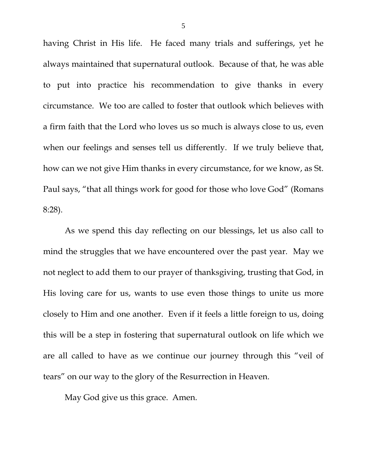having Christ in His life. He faced many trials and sufferings, yet he always maintained that supernatural outlook. Because of that, he was able to put into practice his recommendation to give thanks in every circumstance. We too are called to foster that outlook which believes with a firm faith that the Lord who loves us so much is always close to us, even when our feelings and senses tell us differently. If we truly believe that, how can we not give Him thanks in every circumstance, for we know, as St. Paul says, "that all things work for good for those who love God" (Romans 8:28).

 As we spend this day reflecting on our blessings, let us also call to mind the struggles that we have encountered over the past year. May we not neglect to add them to our prayer of thanksgiving, trusting that God, in His loving care for us, wants to use even those things to unite us more closely to Him and one another. Even if it feels a little foreign to us, doing this will be a step in fostering that supernatural outlook on life which we are all called to have as we continue our journey through this "veil of tears" on our way to the glory of the Resurrection in Heaven.

May God give us this grace. Amen.

5